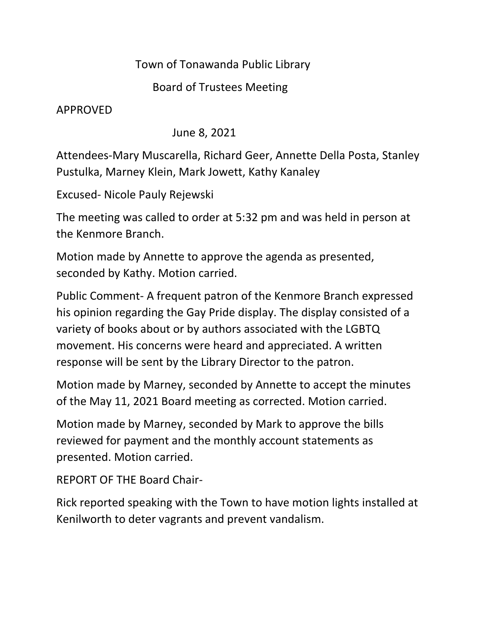## Town of Tonawanda Public Library

## Board of Trustees Meeting

APPROVED

June 8, 2021

Attendees-Mary Muscarella, Richard Geer, Annette Della Posta, Stanley Pustulka, Marney Klein, Mark Jowett, Kathy Kanaley

Excused- Nicole Pauly Rejewski

The meeting was called to order at 5:32 pm and was held in person at the Kenmore Branch.

Motion made by Annette to approve the agenda as presented, seconded by Kathy. Motion carried.

Public Comment- A frequent patron of the Kenmore Branch expressed his opinion regarding the Gay Pride display. The display consisted of a variety of books about or by authors associated with the LGBTQ movement. His concerns were heard and appreciated. A written response will be sent by the Library Director to the patron.

Motion made by Marney, seconded by Annette to accept the minutes of the May 11, 2021 Board meeting as corrected. Motion carried.

Motion made by Marney, seconded by Mark to approve the bills reviewed for payment and the monthly account statements as presented. Motion carried.

REPORT OF THE Board Chair-

Rick reported speaking with the Town to have motion lights installed at Kenilworth to deter vagrants and prevent vandalism.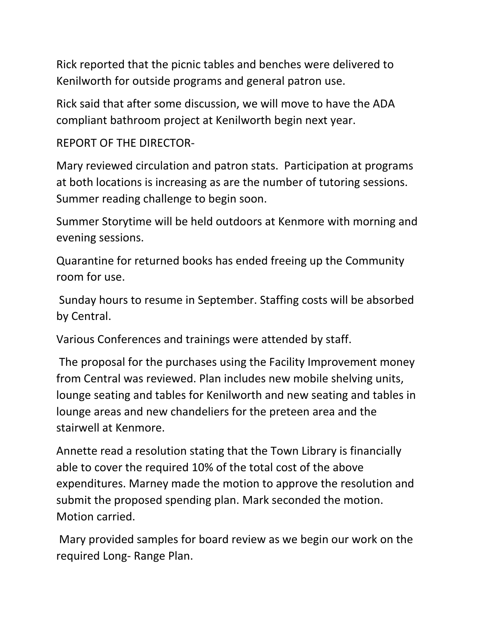Rick reported that the picnic tables and benches were delivered to Kenilworth for outside programs and general patron use.

Rick said that after some discussion, we will move to have the ADA compliant bathroom project at Kenilworth begin next year.

REPORT OF THE DIRECTOR-

Mary reviewed circulation and patron stats. Participation at programs at both locations is increasing as are the number of tutoring sessions. Summer reading challenge to begin soon.

Summer Storytime will be held outdoors at Kenmore with morning and evening sessions.

Quarantine for returned books has ended freeing up the Community room for use.

Sunday hours to resume in September. Staffing costs will be absorbed by Central.

Various Conferences and trainings were attended by staff.

The proposal for the purchases using the Facility Improvement money from Central was reviewed. Plan includes new mobile shelving units, lounge seating and tables for Kenilworth and new seating and tables in lounge areas and new chandeliers for the preteen area and the stairwell at Kenmore.

Annette read a resolution stating that the Town Library is financially able to cover the required 10% of the total cost of the above expenditures. Marney made the motion to approve the resolution and submit the proposed spending plan. Mark seconded the motion. Motion carried.

Mary provided samples for board review as we begin our work on the required Long- Range Plan.